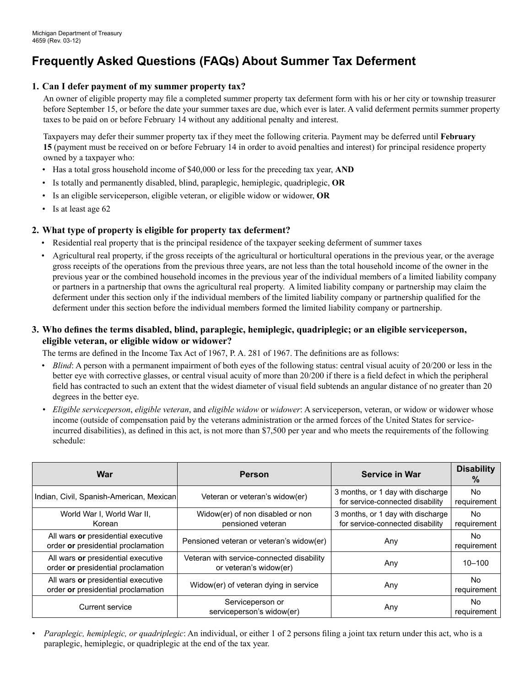# **Frequently Asked Questions (FAQs) About Summer Tax Deferment**

# **1. Can I defer payment of my summer property tax?**

An owner of eligible property may file a completed summer property tax deferment form with his or her city or township treasurer before September 15, or before the date your summer taxes are due, which ever is later. A valid deferment permits summer property taxes to be paid on or before February 14 without any additional penalty and interest.

Taxpayers may defer their summer property tax if they meet the following criteria. Payment may be deferred until **February 15** (payment must be received on or before February 14 in order to avoid penalties and interest) for principal residence property owned by a taxpayer who:

- Has a total gross household income of \$40,000 or less for the preceding tax year, **and**
- Is totally and permanently disabled, blind, paraplegic, hemiplegic, quadriplegic, **or**
- Is an eligible serviceperson, eligible veteran, or eligible widow or widower, **or**
- Is at least age 62

### **2. What type of property is eligible for property tax deferment?**

- Residential real property that is the principal residence of the taxpayer seeking deferment of summer taxes
- Agricultural real property, if the gross receipts of the agricultural or horticultural operations in the previous year, or the average gross receipts of the operations from the previous three years, are not less than the total household income of the owner in the previous year or the combined household incomes in the previous year of the individual members of a limited liability company or partners in a partnership that owns the agricultural real property. A limited liability company or partnership may claim the deferment under this section only if the individual members of the limited liability company or partnership qualified for the deferment under this section before the individual members formed the limited liability company or partnership.

# **3. Who defines the terms disabled, blind, paraplegic, hemiplegic, quadriplegic; or an eligible serviceperson, eligible veteran, or eligible widow or widower?**

The terms are defined in the Income Tax Act of 1967, P. A. 281 of 1967. The definitions are as follows:

- *Blind*: A person with a permanent impairment of both eyes of the following status: central visual acuity of 20/200 or less in the better eye with corrective glasses, or central visual acuity of more than 20/200 if there is a field defect in which the peripheral field has contracted to such an extent that the widest diameter of visual field subtends an angular distance of no greater than 20 degrees in the better eye.
- *• Eligible serviceperson*, *eligible veteran*, and *eligible widow* or *widower*: A serviceperson, veteran, or widow or widower whose income (outside of compensation paid by the veterans administration or the armed forces of the United States for serviceincurred disabilities), as defined in this act, is not more than \$7,500 per year and who meets the requirements of the following schedule:

| War                                                                      | <b>Person</b>                                                       | <b>Service in War</b>                                                 | <b>Disability</b><br>$\%$ |
|--------------------------------------------------------------------------|---------------------------------------------------------------------|-----------------------------------------------------------------------|---------------------------|
| Indian, Civil, Spanish-American, Mexican                                 | Veteran or veteran's widow(er)                                      | 3 months, or 1 day with discharge<br>for service-connected disability | No.<br>requirement        |
| World War I, World War II,<br>Korean                                     | Widow(er) of non disabled or non<br>pensioned veteran               | 3 months, or 1 day with discharge<br>for service-connected disability | No.<br>requirement        |
| All wars or presidential executive<br>order or presidential proclamation | Pensioned veteran or veteran's widow(er)                            | Any                                                                   | No.<br>requirement        |
| All wars or presidential executive<br>order or presidential proclamation | Veteran with service-connected disability<br>or veteran's widow(er) | Any                                                                   | $10 - 100$                |
| All wars or presidential executive<br>order or presidential proclamation | Widow(er) of veteran dying in service                               | Any                                                                   | No.<br>requirement        |
| <b>Current service</b>                                                   | Serviceperson or<br>serviceperson's widow(er)                       | Any                                                                   | No.<br>requirement        |

*• Paraplegic, hemiplegic, or quadriplegic*: An individual, or either 1 of 2 persons filing a joint tax return under this act, who is a paraplegic, hemiplegic, or quadriplegic at the end of the tax year.